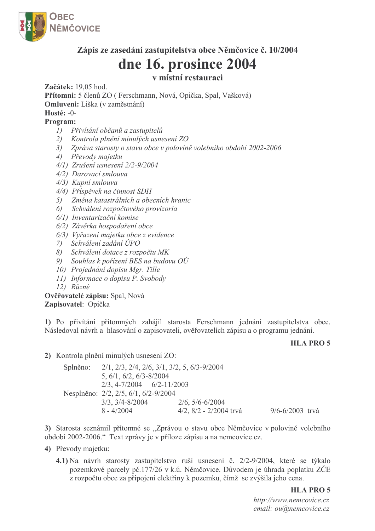

## Zápis ze zasedání zastupitelstva obce Němčovice č. 10/2004

# dne 16. prosince 2004

## v místní restauraci

Začátek: 19.05 hod.

Přítomni: 5 členů ZO (Ferschmann, Nová, Opička, Spal, Vašková) Omluveni: Liška (v zaměstnání)

Hosté: -0-

## Program:

- 1) Přivítání občanů a zastupitelů
- 2) Kontrola plnění minulých usnesení ZO
- 3) Zpráva starosty o stavu obce v polovině volebního období 2002-2006
- 4) Převody majetku
- 4/1) Zrušení usnesení 2/2-9/2004
- 4/2) Darovací smlouva
- 4/3) Kupní smlouva
- 4/4) Příspěvek na činnost SDH
- 5) Změna katastrálních a obecních hranic
- 6) Schválení rozpočtového provizoria
- 6/1) Inventarizační komise
- 6/2) Závěrka hospodaření obce
- 6/3) Vyřazení majetku obce z evidence
- 7) Schválení zadání ÚPO
- 8) Schválení dotace z rozpočtu MK
- 9) Souhlas k pořízení BES na budovu OÚ
- 10) Projednání dopisu Mgr. Tille
- 11) Informace o dopisu P. Svobody
- $12)$   $\widetilde{R}$ *uzné*

### Ověřovatelé zápisu: Spal, Nová Zapisovatel: Opička

1) Po přivítání přítomných zahájil starosta Ferschmann jednání zastupitelstva obce. Následoval návrh a hlasování o zapisovateli, ověřovatelích zápisu a o programu jednání.

#### **HLA PRO 5**

2) Kontrola plnění minulých usnesení ZO:

 $2/1$ ,  $2/3$ ,  $2/4$ ,  $2/6$ ,  $3/1$ ,  $3/2$ , 5,  $6/3$ -9/2004 Splněno:  $5, 6/1, 6/2, 6/3 - 8/2004$  $2/3$ , 4-7/2004 6/2-11/2003 Nesplněno: 2/2, 2/5, 6/1, 6/2-9/2004  $3/3$ ,  $3/4 - 8/2004$  $2/6, 5/6 - 6/2004$  $4/2$ ,  $8/2 - 2/2004$  trvá  $8 - 4/2004$  $9/6 - 6/2003$  tryá

3) Starosta seznámil přítomné se "Zprávou o stavu obce Němčovice v polovině volebního období 2002-2006." Text zprávy je v příloze zápisu a na nemcovice.cz.

- 4) Převody majetku:
	- 4.1) Na návrh starosty zastupitelstvo ruší usnesení č. 2/2-9/2004, které se týkalo pozemkové parcely pč.177/26 v k.ú. Němčovice. Důvodem je úhrada poplatku ZČE z rozpočtu obce za připojení elektřiny k pozemku, čímž se zvýšila jeho cena.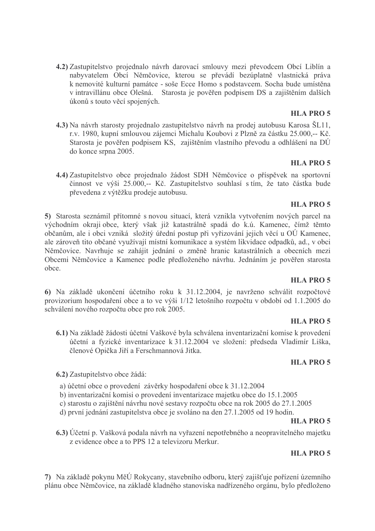4.2) Zastupitelstvo projednalo návrh darovací smlouvy mezi převodcem Obcí Liblín a nabyvatelem Obcí Němčovice, kterou se převádí bezúplatně vlastnická práva k nemovité kulturní památce - soše Ecce Homo s podstavcem. Socha bude umístěna v intravillánu obce Olešná. Starosta je pověřen podpisem DS a zajištěním dalších úkonů s touto věcí spojených.

#### **HLA PRO 5**

4.3) Na návrh starosty projednalo zastupitelstvo návrh na prodej autobusu Karosa ŠL11, r.v. 1980, kupní smlouvou zájemci Michalu Koubovi z Plzně za částku 25.000,-- Kč. Starosta je pověřen podpisem KS, zajištěním vlastního převodu a odhlášení na DÚ do konce srpna 2005.

#### **HLA PRO 5**

4.4) Zastupitelstvo obce projednalo žádost SDH Němčovice o příspěvek na sportovní činnost ve výši 25.000,-- Kč. Zastupitelstvo souhlasí s tím, že tato částka bude převedena z výtěžku prodeje autobusu.

#### **HLA PRO 5**

5) Starosta seznámil přítomné s novou situací, která vznikla vytvořením nových parcel na východním okraji obce, který však již katastrálně spadá do k.ú. Kamenec, čímž těmto občanům, ale i obci vzniká složitý úřední postup při vyřizování jejich věcí u OÚ Kamenec, ale zároveň tito občané využívají místní komunikace a systém likvidace odpadků, ad., v obci Němčovice. Navrhuje se zahájit jednání o změně hranic katastrálních a obecních mezi Obcemi Němčovice a Kamenec podle předloženého návrhu. Jednáním je pověřen starosta obce.

## **HLA PRO 5**

6) Na základě ukončení účetního roku k 31.12.2004, je navrženo schválit rozpočtové provizorium hospodaření obce a to ve výši  $1/12$  letošního rozpočtu v období od 1.1.2005 do schválení nového rozpočtu obce pro rok 2005.

#### **HLA PRO 5**

6.1) Na základě žádosti účetní Vaškové byla schválena inventarizační komise k provedení účetní a fyzické inventarizace k 31.12.2004 ve složení: předseda Vladimír Liška, členové Opička Jiří a Ferschmannová Jitka.

#### **HLA PRO 5**

6.2) Zastupitelstvo obce žádá:

- a) účetní obce o provedení závěrky hospodaření obce k 31.12.2004
- b) inventarizační komisi o provedení inventarizace majetku obce do 15.1.2005
- c) starostu o zajištění návrhu nové sestavy rozpočtu obce na rok 2005 do 27.1.2005
- d) první jednání zastupitelstva obce je svoláno na den 27.1.2005 od 19 hodin.

#### **HLA PRO 5**

6.3) Účetní p. Vašková podala návrh na vyřazení nepotřebného a neopravitelného majetku z evidence obce a to PPS 12 a televizoru Merkur.

## **HLA PRO5**

7) Na základě pokynu MěÚ Rokycany, stavebního odboru, který zajišťuje pořízení územního plánu obce Němčovice, na základě kladného stanoviska nadřízeného orgánu, bylo předloženo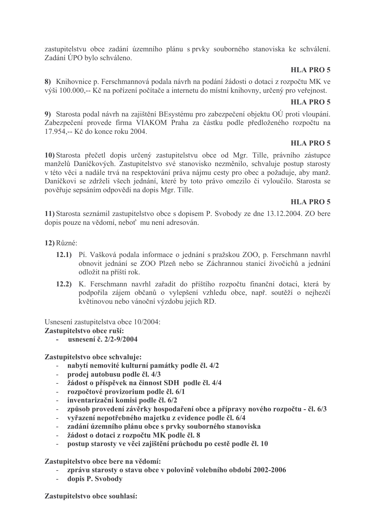zastupitelstvu obce zadání územního plánu s prvky souborného stanoviska ke schválení. Zadání ÚPO bylo schváleno.

### **HLA PRO 5**

8) Knihovnice p. Ferschmannová podala návrh na podání žádosti o dotaci z rozpočtu MK ve výši 100.000,-- Kč na pořízení počítače a internetu do místní knihovny, určený pro veřejnost.

#### **HLA PRO 5**

9) Starosta podal návrh na zajištění BEsystému pro zabezpečení objektu OÚ proti vloupání. Zabezpečení provede firma VIAKOM Praha za částku podle předloženého rozpočtu na 17.954,-- Kč do konce roku 2004.

## **HLA PRO 5**

10) Starosta přečetl dopis určený zastupitelstvu obce od Mgr. Tille, právního zástupce manželů Daníčkových. Zastupitelstvo své stanovisko nezměnilo, schvaluje postup starosty v této věci a nadále trvá na respektování práva nájmu cesty pro obec a požaduje, aby manž. Daníčkovi se zdrželi všech jednání, které by toto právo omezilo či vyloučilo. Starosta se pověřuje sepsáním odpovědi na dopis Mgr. Tille.

#### **HLA PRO 5**

11) Starosta seznámil zastupitelstvo obce s dopisem P. Svobody ze dne 13.12.2004. ZO bere dopis pouze na vědomí, neboť mu není adresován.

- $12)$  Různé:
	- 12.1) Pí. Vašková podala informace o jednání s pražskou ZOO, p. Ferschmann navrhl obnovit jednání se ZOO Plzeň nebo se Záchrannou stanicí živočichů a jednání odložit na příští rok.
	- 12.2) K. Ferschmann navrhl zařadit do příštího rozpočtu finanční dotaci, která by podpořila zájem občanů o vylepšení vzhledu obce, např. soutěží o nejhezčí květinovou nebo vánoční výzdobu jejich RD.

Usnesení zastupitelstva obce 10/2004:

#### Zastupitelstvo obce ruší:

usnesení č. 2/2-9/2004

#### Zastupitelstvo obce schvaluje:

- nabytí nemovité kulturní památky podle čl. 4/2
- prodej autobusu podle čl. 4/3
- žádost o příspěvek na činnost SDH podle čl. 4/4  $\omega_{\rm{max}}$
- rozpočtové provizorium podle čl. 6/1  $\mathbf{r}$
- inventarizační komisi podle čl. 6/2  $\mathcal{L}^{\text{max}}$
- způsob provedení závěrky hospodaření obce a přípravy nového rozpočtu čl. 6/3
- vyřazení nepotřebného majetku z evidence podle čl. 6/4
- zadání územního plánu obce s prvky souborného stanoviska
- žádost o dotaci z rozpočtu MK podle čl. 8
- postup starosty ve věci zajištění průchodu po cestě podle čl. 10  $\omega$

#### Zastupitelstvo obce bere na vědomí:

- zprávu starosty o stavu obce v polovině volebního období 2002-2006
- $\omega_{\rm{eff}}$ dopis P. Svobody

Zastupitelstvo obce souhlasí: